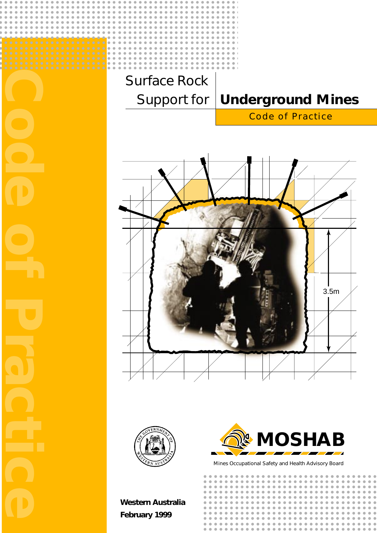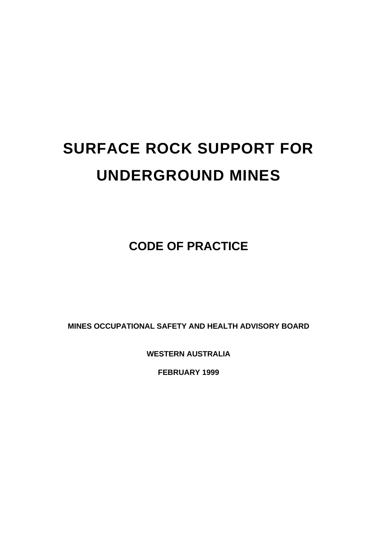# **SURFACE ROCK SUPPORT FOR UNDERGROUND MINES**

**CODE OF PRACTICE**

**MINES OCCUPATIONAL SAFETY AND HEALTH ADVISORY BOARD**

**WESTERN AUSTRALIA**

**FEBRUARY 1999**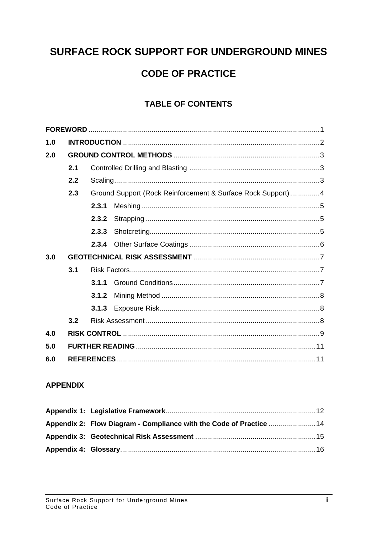# SURFACE ROCK SUPPORT FOR UNDERGROUND MINES

# **CODE OF PRACTICE**

# **TABLE OF CONTENTS**

| 1.0 |     |                                                             |  |  |  |  |
|-----|-----|-------------------------------------------------------------|--|--|--|--|
| 2.0 |     |                                                             |  |  |  |  |
|     | 2.1 |                                                             |  |  |  |  |
|     | 2.2 |                                                             |  |  |  |  |
|     | 2.3 | Ground Support (Rock Reinforcement & Surface Rock Support)4 |  |  |  |  |
|     |     | 2.3.1                                                       |  |  |  |  |
|     |     | 2.3.2                                                       |  |  |  |  |
|     |     | 2.3.3                                                       |  |  |  |  |
|     |     |                                                             |  |  |  |  |
| 3.0 |     |                                                             |  |  |  |  |
|     | 3.1 |                                                             |  |  |  |  |
|     |     | 3.1.1                                                       |  |  |  |  |
|     |     | 3.1.2                                                       |  |  |  |  |
|     |     |                                                             |  |  |  |  |
|     | 3.2 |                                                             |  |  |  |  |
| 4.0 |     |                                                             |  |  |  |  |
| 5.0 |     |                                                             |  |  |  |  |
| 6.0 |     |                                                             |  |  |  |  |

#### **APPENDIX**

| Appendix 2: Flow Diagram - Compliance with the Code of Practice 14 |  |
|--------------------------------------------------------------------|--|
|                                                                    |  |
|                                                                    |  |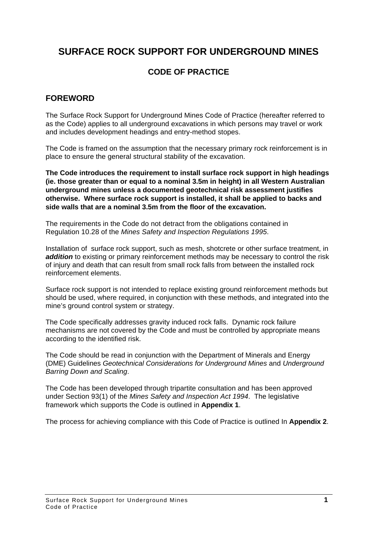# **SURFACE ROCK SUPPORT FOR UNDERGROUND MINES**

# **CODE OF PRACTICE**

# **FOREWORD**

The Surface Rock Support for Underground Mines Code of Practice (hereafter referred to as the Code) applies to all underground excavations in which persons may travel or work and includes development headings and entry-method stopes.

The Code is framed on the assumption that the necessary primary rock reinforcement is in place to ensure the general structural stability of the excavation.

**The Code introduces the requirement to install surface rock support in high headings (ie. those greater than or equal to a nominal 3.5m in height) in all Western Australian underground mines unless a documented geotechnical risk assessment justifies otherwise. Where surface rock support is installed, it shall be applied to backs and side walls that are a nominal 3.5m from the floor of the excavation.**

The requirements in the Code do not detract from the obligations contained in Regulation 10.28 of the *Mines Safety and Inspection Regulations 1995*.

Installation of surface rock support, such as mesh, shotcrete or other surface treatment, in **addition** to existing or primary reinforcement methods may be necessary to control the risk of injury and death that can result from small rock falls from between the installed rock reinforcement elements.

Surface rock support is not intended to replace existing ground reinforcement methods but should be used, where required, in conjunction with these methods, and integrated into the mine's ground control system or strategy.

The Code specifically addresses gravity induced rock falls. Dynamic rock failure mechanisms are not covered by the Code and must be controlled by appropriate means according to the identified risk.

The Code should be read in conjunction with the Department of Minerals and Energy (DME) Guidelines *Geotechnical Considerations for Underground Mines* and *Underground Barring Down and Scaling*.

The Code has been developed through tripartite consultation and has been approved under Section 93(1) of the *Mines Safety and Inspection Act 1994*. The legislative framework which supports the Code is outlined in **Appendix 1**.

The process for achieving compliance with this Code of Practice is outlined In **Appendix 2**.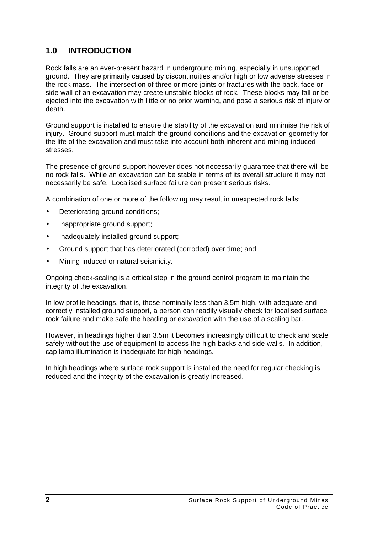# **1.0 INTRODUCTION**

Rock falls are an ever-present hazard in underground mining, especially in unsupported ground. They are primarily caused by discontinuities and/or high or low adverse stresses in the rock mass. The intersection of three or more joints or fractures with the back, face or side wall of an excavation may create unstable blocks of rock. These blocks may fall or be ejected into the excavation with little or no prior warning, and pose a serious risk of injury or death.

Ground support is installed to ensure the stability of the excavation and minimise the risk of injury. Ground support must match the ground conditions and the excavation geometry for the life of the excavation and must take into account both inherent and mining-induced stresses.

The presence of ground support however does not necessarily guarantee that there will be no rock falls. While an excavation can be stable in terms of its overall structure it may not necessarily be safe. Localised surface failure can present serious risks.

A combination of one or more of the following may result in unexpected rock falls:

- Deteriorating ground conditions;
- Inappropriate ground support;
- Inadequately installed ground support;
- Ground support that has deteriorated (corroded) over time; and
- Mining-induced or natural seismicity.

Ongoing check-scaling is a critical step in the ground control program to maintain the integrity of the excavation.

In low profile headings, that is, those nominally less than 3.5m high, with adequate and correctly installed ground support, a person can readily visually check for localised surface rock failure and make safe the heading or excavation with the use of a scaling bar.

However, in headings higher than 3.5m it becomes increasingly difficult to check and scale safely without the use of equipment to access the high backs and side walls. In addition, cap lamp illumination is inadequate for high headings.

In high headings where surface rock support is installed the need for regular checking is reduced and the integrity of the excavation is greatly increased.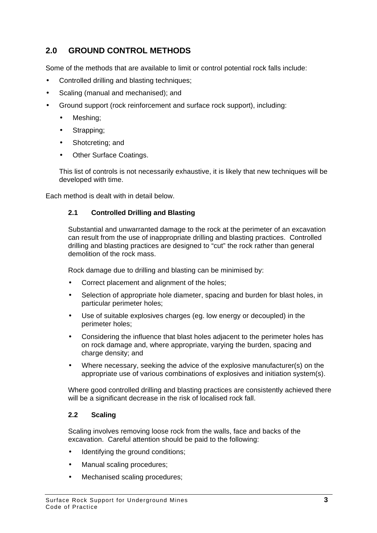# **2.0 GROUND CONTROL METHODS**

Some of the methods that are available to limit or control potential rock falls include:

- Controlled drilling and blasting techniques;
- Scaling (manual and mechanised); and
- Ground support (rock reinforcement and surface rock support), including:
	- Meshing;
	- Strapping;
	- Shotcreting; and
	- Other Surface Coatings.

This list of controls is not necessarily exhaustive, it is likely that new techniques will be developed with time.

Each method is dealt with in detail below.

#### **2.1 Controlled Drilling and Blasting**

Substantial and unwarranted damage to the rock at the perimeter of an excavation can result from the use of inappropriate drilling and blasting practices. Controlled drilling and blasting practices are designed to "cut" the rock rather than general demolition of the rock mass.

Rock damage due to drilling and blasting can be minimised by:

- Correct placement and alignment of the holes;
- Selection of appropriate hole diameter, spacing and burden for blast holes, in particular perimeter holes;
- Use of suitable explosives charges (eg. low energy or decoupled) in the perimeter holes;
- Considering the influence that blast holes adjacent to the perimeter holes has on rock damage and, where appropriate, varying the burden, spacing and charge density; and
- Where necessary, seeking the advice of the explosive manufacturer(s) on the appropriate use of various combinations of explosives and initiation system(s).

Where good controlled drilling and blasting practices are consistently achieved there will be a significant decrease in the risk of localised rock fall.

#### **2.2 Scaling**

Scaling involves removing loose rock from the walls, face and backs of the excavation. Careful attention should be paid to the following:

- Identifying the ground conditions;
- Manual scaling procedures;
- Mechanised scaling procedures;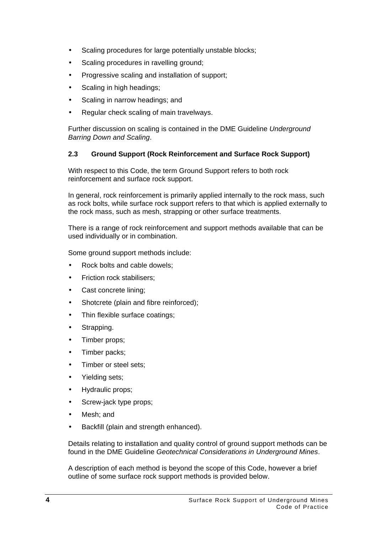- Scaling procedures for large potentially unstable blocks;
- Scaling procedures in ravelling ground:
- Progressive scaling and installation of support;
- Scaling in high headings;
- Scaling in narrow headings; and
- Regular check scaling of main travelways.

Further discussion on scaling is contained in the DME Guideline *Underground Barring Down and Scaling*.

#### **2.3 Ground Support (Rock Reinforcement and Surface Rock Support)**

With respect to this Code, the term Ground Support refers to both rock reinforcement and surface rock support.

In general, rock reinforcement is primarily applied internally to the rock mass, such as rock bolts, while surface rock support refers to that which is applied externally to the rock mass, such as mesh, strapping or other surface treatments.

There is a range of rock reinforcement and support methods available that can be used individually or in combination.

Some ground support methods include:

- Rock bolts and cable dowels:
- Friction rock stabilisers;
- Cast concrete lining:
- Shotcrete (plain and fibre reinforced);
- Thin flexible surface coatings;
- Strapping.
- Timber props;
- Timber packs;
- Timber or steel sets:
- Yielding sets;
- Hydraulic props;
- Screw-jack type props;
- Mesh: and
- Backfill (plain and strength enhanced).

Details relating to installation and quality control of ground support methods can be found in the DME Guideline *Geotechnical Considerations in Underground Mines*.

A description of each method is beyond the scope of this Code, however a brief outline of some surface rock support methods is provided below.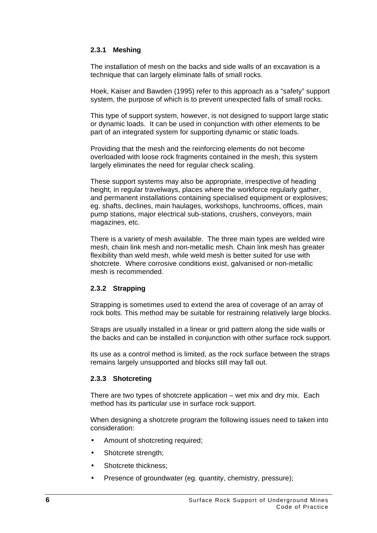#### **2.3.1 Meshing**

The installation of mesh on the backs and side walls of an excavation is a technique that can largely eliminate falls of small rocks.

Hoek, Kaiser and Bawden (1995) refer to this approach as a "safety" support system, the purpose of which is to prevent unexpected falls of small rocks.

This type of support system, however, is not designed to support large static or dynamic loads. It can be used in conjunction with other elements to be part of an integrated system for supporting dynamic or static loads.

Providing that the mesh and the reinforcing elements do not become overloaded with loose rock fragments contained in the mesh, this system largely eliminates the need for regular check scaling.

These support systems may also be appropriate, irrespective of heading height, in regular travelways, places where the workforce regularly gather, and permanent installations containing specialised equipment or explosives; eg. shafts, declines, main haulages, workshops, lunchrooms, offices, main pump stations, major electrical sub-stations, crushers, conveyors, main magazines, etc.

There is a variety of mesh available. The three main types are welded wire mesh, chain link mesh and non-metallic mesh. Chain link mesh has greater flexibility than weld mesh, while weld mesh is better suited for use with shotcrete. Where corrosive conditions exist, galvanised or non-metallic mesh is recommended.

#### **2.3.2 Strapping**

Strapping is sometimes used to extend the area of coverage of an array of rock bolts. This method may be suitable for restraining relatively large blocks.

Straps are usually installed in a linear or grid pattern along the side walls or the backs and can be installed in conjunction with other surface rock support.

Its use as a control method is limited, as the rock surface between the straps remains largely unsupported and blocks still may fall out.

#### **2.3.3 Shotcreting**

There are two types of shotcrete application – wet mix and dry mix. Each method has its particular use in surface rock support.

When designing a shotcrete program the following issues need to taken into consideration:

- Amount of shotcreting required;
- Shotcrete strength;
- Shotcrete thickness;
- Presence of groundwater (eg. quantity, chemistry, pressure);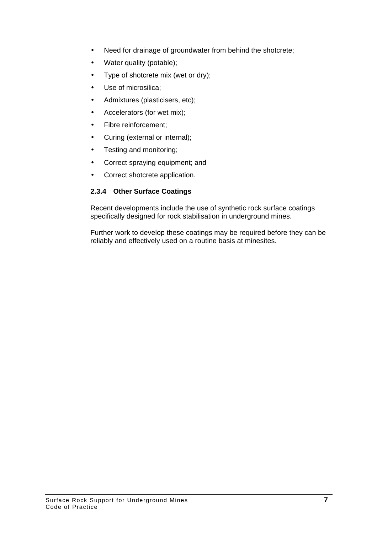- Need for drainage of groundwater from behind the shotcrete;
- Water quality (potable);
- Type of shotcrete mix (wet or dry);
- Use of microsilica;
- Admixtures (plasticisers, etc);
- Accelerators (for wet mix);
- Fibre reinforcement;
- Curing (external or internal);
- Testing and monitoring;
- Correct spraying equipment; and
- Correct shotcrete application.

#### **2.3.4 Other Surface Coatings**

Recent developments include the use of synthetic rock surface coatings specifically designed for rock stabilisation in underground mines.

Further work to develop these coatings may be required before they can be reliably and effectively used on a routine basis at minesites.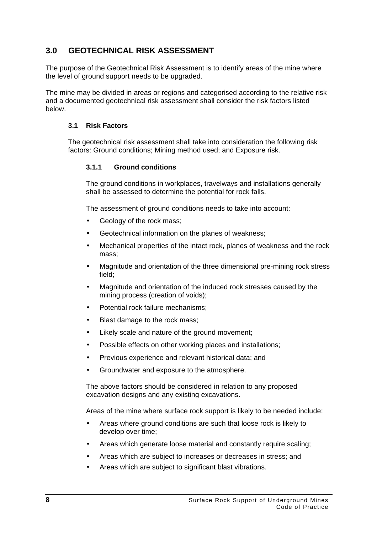# **3.0 GEOTECHNICAL RISK ASSESSMENT**

The purpose of the Geotechnical Risk Assessment is to identify areas of the mine where the level of ground support needs to be upgraded.

The mine may be divided in areas or regions and categorised according to the relative risk and a documented geotechnical risk assessment shall consider the risk factors listed below.

#### **3.1 Risk Factors**

The geotechnical risk assessment shall take into consideration the following risk factors: Ground conditions; Mining method used; and Exposure risk.

#### **3.1.1 Ground conditions**

The ground conditions in workplaces, travelways and installations generally shall be assessed to determine the potential for rock falls.

The assessment of ground conditions needs to take into account:

- Geology of the rock mass:
- Geotechnical information on the planes of weakness;
- Mechanical properties of the intact rock, planes of weakness and the rock mass;
- Magnitude and orientation of the three dimensional pre-mining rock stress field;
- Magnitude and orientation of the induced rock stresses caused by the mining process (creation of voids);
- Potential rock failure mechanisms:
- Blast damage to the rock mass;
- Likely scale and nature of the ground movement;
- Possible effects on other working places and installations;
- Previous experience and relevant historical data; and
- Groundwater and exposure to the atmosphere.

The above factors should be considered in relation to any proposed excavation designs and any existing excavations.

Areas of the mine where surface rock support is likely to be needed include:

- Areas where ground conditions are such that loose rock is likely to develop over time;
- Areas which generate loose material and constantly require scaling;
- Areas which are subject to increases or decreases in stress; and
- Areas which are subject to significant blast vibrations.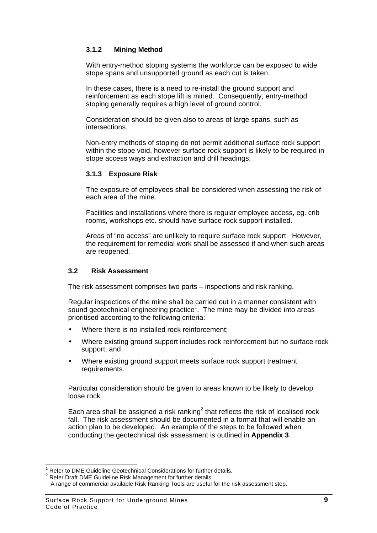#### **3.1.2 Mining Method**

With entry-method stoping systems the workforce can be exposed to wide stope spans and unsupported ground as each cut is taken.

In these cases, there is a need to re-install the ground support and reinforcement as each stope lift is mined. Consequently, entry-method stoping generally requires a high level of ground control.

Consideration should be given also to areas of large spans, such as intersections.

Non-entry methods of stoping do not permit additional surface rock support within the stope void, however surface rock support is likely to be required in stope access ways and extraction and drill headings.

#### **3.1.3 Exposure Risk**

The exposure of employees shall be considered when assessing the risk of each area of the mine.

Facilities and installations where there is regular employee access, eg. crib rooms, workshops etc. should have surface rock support installed.

Areas of "no access" are unlikely to require surface rock support. However, the requirement for remedial work shall be assessed if and when such areas are reopened.

#### **3.2 Risk Assessment**

The risk assessment comprises two parts – inspections and risk ranking.

Regular inspections of the mine shall be carried out in a manner consistent with sound geotechnical engineering practice $1$ . The mine may be divided into areas prioritised according to the following criteria:

- Where there is no installed rock reinforcement:
- Where existing ground support includes rock reinforcement but no surface rock support; and
- Where existing ground support meets surface rock support treatment requirements.

Particular consideration should be given to areas known to be likely to develop loose rock.

Each area shall be assigned a risk ranking $^2$  that reflects the risk of localised rock fall. The risk assessment should be documented in a format that will enable an action plan to be developed. An example of the steps to be followed when conducting the geotechnical risk assessment is outlined in **Appendix 3**.

 $\overline{a}$ 1 Refer to DME Guideline Geotechnical Considerations for further details.

 $2$  Refer Draft DME Guideline Risk Management for further details.

A range of commercial available Risk Ranking Tools are useful for the risk assessment step.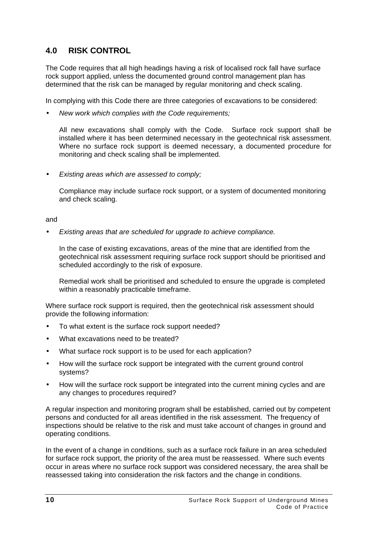# **4.0 RISK CONTROL**

The Code requires that all high headings having a risk of localised rock fall have surface rock support applied, unless the documented ground control management plan has determined that the risk can be managed by regular monitoring and check scaling.

In complying with this Code there are three categories of excavations to be considered:

• *New work which complies with the Code requirements;*

All new excavations shall comply with the Code. Surface rock support shall be installed where it has been determined necessary in the geotechnical risk assessment. Where no surface rock support is deemed necessary, a documented procedure for monitoring and check scaling shall be implemented.

• *Existing areas which are assessed to comply;*

Compliance may include surface rock support, or a system of documented monitoring and check scaling.

and

• *Existing areas that are scheduled for upgrade to achieve compliance.*

In the case of existing excavations, areas of the mine that are identified from the geotechnical risk assessment requiring surface rock support should be prioritised and scheduled accordingly to the risk of exposure.

Remedial work shall be prioritised and scheduled to ensure the upgrade is completed within a reasonably practicable timeframe.

Where surface rock support is required, then the geotechnical risk assessment should provide the following information:

- To what extent is the surface rock support needed?
- What excavations need to be treated?
- What surface rock support is to be used for each application?
- How will the surface rock support be integrated with the current ground control systems?
- How will the surface rock support be integrated into the current mining cycles and are any changes to procedures required?

A regular inspection and monitoring program shall be established, carried out by competent persons and conducted for all areas identified in the risk assessment. The frequency of inspections should be relative to the risk and must take account of changes in ground and operating conditions.

In the event of a change in conditions, such as a surface rock failure in an area scheduled for surface rock support, the priority of the area must be reassessed. Where such events occur in areas where no surface rock support was considered necessary, the area shall be reassessed taking into consideration the risk factors and the change in conditions.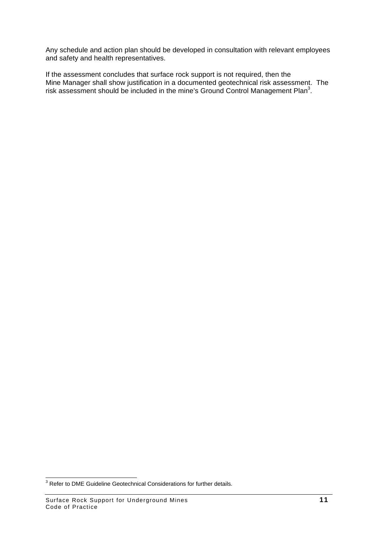Any schedule and action plan should be developed in consultation with relevant employees and safety and health representatives.

If the assessment concludes that surface rock support is not required, then the Mine Manager shall show justification in a documented geotechnical risk assessment. The risk assessment should be included in the mine's Ground Control Management Plan<sup>3</sup>.

 3 Refer to DME Guideline Geotechnical Considerations for further details.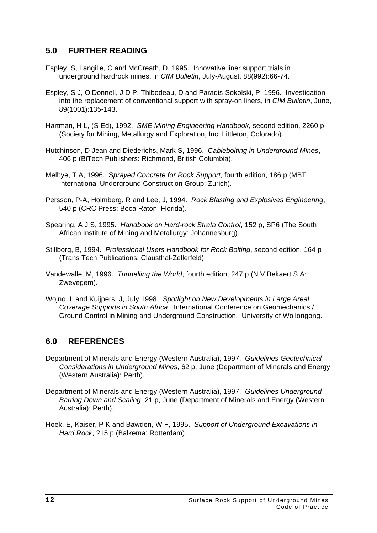### **5.0 FURTHER READING**

- Espley, S, Langille, C and McCreath, D, 1995. Innovative liner support trials in underground hardrock mines, in *CIM Bulletin*, July-August, 88(992):66-74.
- Espley, S J, O'Donnell, J D P, Thibodeau, D and Paradis-Sokolski, P, 1996. Investigation into the replacement of conventional support with spray-on liners, in *CIM Bulletin*, June, 89(1001):135-143.
- Hartman, H L, (S Ed), 1992. *SME Mining Engineering Handbook*, second edition, 2260 p (Society for Mining, Metallurgy and Exploration, Inc: Littleton, Colorado).
- Hutchinson, D Jean and Diederichs, Mark S, 1996. *Cablebolting in Underground Mines*, 406 p (BiTech Publishers: Richmond, British Columbia).
- Melbye, T A, 1996. S*prayed Concrete for Rock Support*, fourth edition, 186 p (MBT International Underground Construction Group: Zurich).
- Persson, P-A, Holmberg, R and Lee, J, 1994. *Rock Blasting and Explosives Engineering*, 540 p (CRC Press: Boca Raton, Florida).
- Spearing, A J S, 1995. *Handbook on Hard-rock Strata Control*, 152 p, SP6 (The South African Institute of Mining and Metallurgy: Johannesburg).
- Stillborg, B, 1994. *Professional Users Handbook for Rock Bolting*, second edition, 164 p (Trans Tech Publications: Clausthal-Zellerfeld).
- Vandewalle, M, 1996. *Tunnelling the World*, fourth edition, 247 p (N V Bekaert S A: Zwevegem).
- Wojno, L and Kuijpers, J, July 1998. *Spotlight on New Developments in Large Areal Coverage Supports in South Africa*. International Conference on Geomechanics / Ground Control in Mining and Underground Construction. University of Wollongong.

### **6.0 REFERENCES**

- Department of Minerals and Energy (Western Australia), 1997. *Guidelines Geotechnical Considerations in Underground Mines*, 62 p, June (Department of Minerals and Energy (Western Australia): Perth).
- Department of Minerals and Energy (Western Australia), 1997. *Guidelines Underground Barring Down and Scaling*, 21 p, June (Department of Minerals and Energy (Western Australia): Perth).
- Hoek, E, Kaiser, P K and Bawden, W F, 1995. *Support of Underground Excavations in Hard Rock*, 215 p (Balkema: Rotterdam).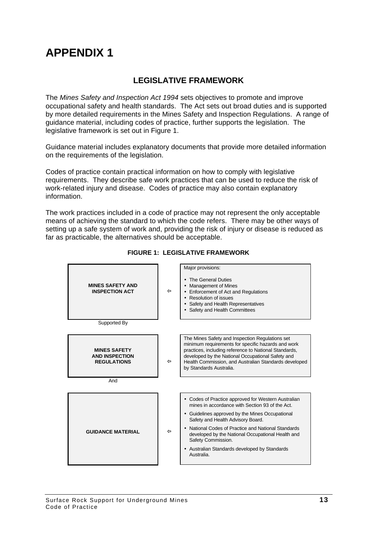### **LEGISLATIVE FRAMEWORK**

The *Mines Safety and Inspection Act 1994* sets objectives to promote and improve occupational safety and health standards. The Act sets out broad duties and is supported by more detailed requirements in the Mines Safety and Inspection Regulations. A range of guidance material, including codes of practice, further supports the legislation. The legislative framework is set out in Figure 1.

Guidance material includes explanatory documents that provide more detailed information on the requirements of the legislation.

Codes of practice contain practical information on how to comply with legislative requirements. They describe safe work practices that can be used to reduce the risk of work-related injury and disease. Codes of practice may also contain explanatory information.

The work practices included in a code of practice may not represent the only acceptable means of achieving the standard to which the code refers. There may be other ways of setting up a safe system of work and, providing the risk of injury or disease is reduced as far as practicable, the alternatives should be acceptable.



#### **FIGURE 1: LEGISLATIVE FRAMEWORK**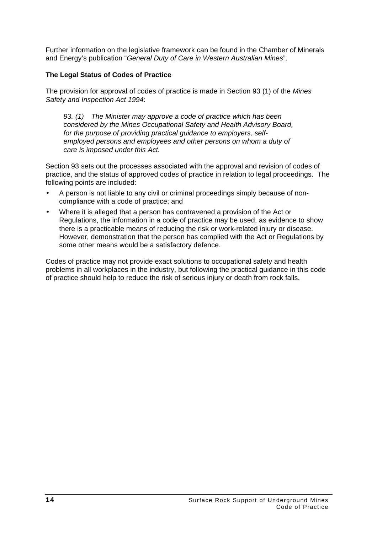Further information on the legislative framework can be found in the Chamber of Minerals and Energy's publication "*General Duty of Care in Western Australian Mines*".

#### **The Legal Status of Codes of Practice**

The provision for approval of codes of practice is made in Section 93 (1) of the *Mines Safety and Inspection Act 1994*:

*93. (1) The Minister may approve a code of practice which has been considered by the Mines Occupational Safety and Health Advisory Board, for the purpose of providing practical guidance to employers, selfemployed persons and employees and other persons on whom a duty of care is imposed under this Act.*

Section 93 sets out the processes associated with the approval and revision of codes of practice, and the status of approved codes of practice in relation to legal proceedings. The following points are included:

- A person is not liable to any civil or criminal proceedings simply because of noncompliance with a code of practice; and
- Where it is alleged that a person has contravened a provision of the Act or Regulations, the information in a code of practice may be used, as evidence to show there is a practicable means of reducing the risk or work-related injury or disease. However, demonstration that the person has complied with the Act or Regulations by some other means would be a satisfactory defence.

Codes of practice may not provide exact solutions to occupational safety and health problems in all workplaces in the industry, but following the practical guidance in this code of practice should help to reduce the risk of serious injury or death from rock falls.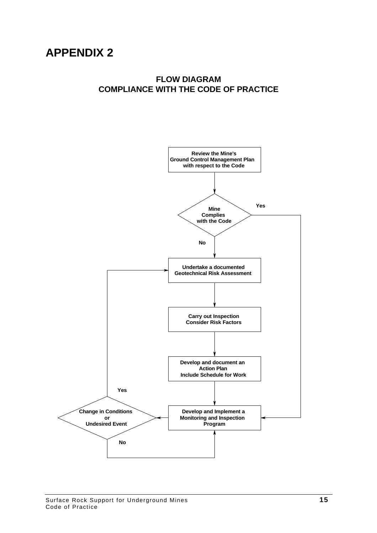### **FLOW DIAGRAM COMPLIANCE WITH THE CODE OF PRACTICE**

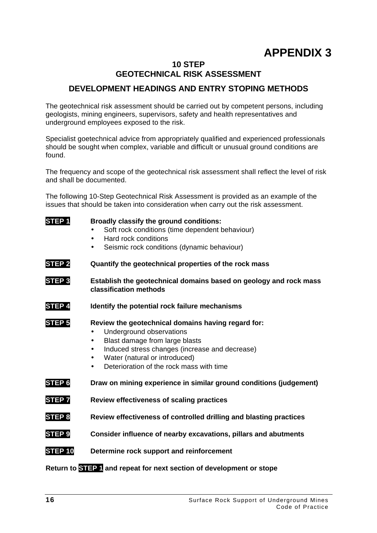#### **10 STEP GEOTECHNICAL RISK ASSESSMENT**

# **DEVELOPMENT HEADINGS AND ENTRY STOPING METHODS**

The geotechnical risk assessment should be carried out by competent persons, including geologists, mining engineers, supervisors, safety and health representatives and underground employees exposed to the risk.

Specialist goetechnical advice from appropriately qualified and experienced professionals should be sought when complex, variable and difficult or unusual ground conditions are found.

The frequency and scope of the geotechnical risk assessment shall reflect the level of risk and shall be documented.

The following 10-Step Geotechnical Risk Assessment is provided as an example of the issues that should be taken into consideration when carry out the risk assessment.

| STEP <sub>1</sub>  | Broadly classify the ground conditions:<br>Soft rock conditions (time dependent behaviour)<br>Hard rock conditions<br>$\bullet$<br>Seismic rock conditions (dynamic behaviour)<br>$\bullet$                                                                               |  |  |  |  |
|--------------------|---------------------------------------------------------------------------------------------------------------------------------------------------------------------------------------------------------------------------------------------------------------------------|--|--|--|--|
| STEP <sub>2</sub>  | Quantify the geotechnical properties of the rock mass                                                                                                                                                                                                                     |  |  |  |  |
| STEP <sub>3</sub>  | Establish the geotechnical domains based on geology and rock mass<br>classification methods                                                                                                                                                                               |  |  |  |  |
| STEP 4             | Identify the potential rock failure mechanisms                                                                                                                                                                                                                            |  |  |  |  |
| <b>STEP 5</b>      | Review the geotechnical domains having regard for:<br>Underground observations<br>Blast damage from large blasts<br>Induced stress changes (increase and decrease)<br>Water (natural or introduced)<br>$\bullet$<br>Deterioration of the rock mass with time<br>$\bullet$ |  |  |  |  |
| STEP <sub>6</sub>  | Draw on mining experience in similar ground conditions (judgement)                                                                                                                                                                                                        |  |  |  |  |
| <b>STEP7</b>       | Review effectiveness of scaling practices                                                                                                                                                                                                                                 |  |  |  |  |
| <b>STEP 8</b>      | Review effectiveness of controlled drilling and blasting practices                                                                                                                                                                                                        |  |  |  |  |
| STEP <sub>9</sub>  | Consider influence of nearby excavations, pillars and abutments                                                                                                                                                                                                           |  |  |  |  |
| STEP <sub>10</sub> | Determine rock support and reinforcement                                                                                                                                                                                                                                  |  |  |  |  |

**Return to STEP 1 and repeat for next section of development or stope**